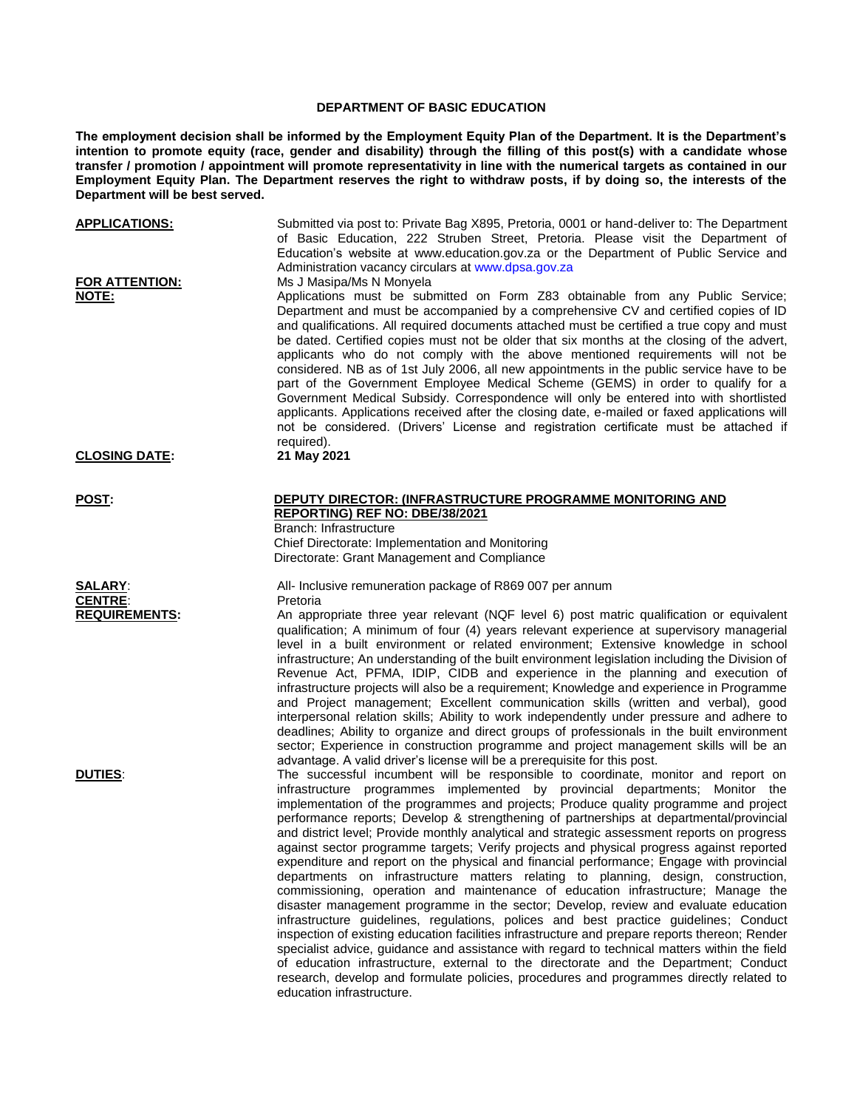## **DEPARTMENT OF BASIC EDUCATION**

**The employment decision shall be informed by the Employment Equity Plan of the Department. It is the Department's intention to promote equity (race, gender and disability) through the filling of this post(s) with a candidate whose transfer / promotion / appointment will promote representativity in line with the numerical targets as contained in our Employment Equity Plan. The Department reserves the right to withdraw posts, if by doing so, the interests of the Department will be best served.**

| <u>APPLICATIONS:</u>                                          | Submitted via post to: Private Bag X895, Pretoria, 0001 or hand-deliver to: The Department<br>of Basic Education, 222 Struben Street, Pretoria. Please visit the Department of<br>Education's website at www.education.gov.za or the Department of Public Service and<br>Administration vacancy circulars at www.dpsa.gov.za                                                                                                                                                                                                                                                                                                                                                                                                                                                                                                                                                                                                                                                                                                                                                                                                                                                                                                                                                                                                                                                              |
|---------------------------------------------------------------|-------------------------------------------------------------------------------------------------------------------------------------------------------------------------------------------------------------------------------------------------------------------------------------------------------------------------------------------------------------------------------------------------------------------------------------------------------------------------------------------------------------------------------------------------------------------------------------------------------------------------------------------------------------------------------------------------------------------------------------------------------------------------------------------------------------------------------------------------------------------------------------------------------------------------------------------------------------------------------------------------------------------------------------------------------------------------------------------------------------------------------------------------------------------------------------------------------------------------------------------------------------------------------------------------------------------------------------------------------------------------------------------|
| <b>FOR ATTENTION:</b><br><b>NOTE:</b><br><b>CLOSING DATE:</b> | Ms J Masipa/Ms N Monyela<br>Applications must be submitted on Form Z83 obtainable from any Public Service;<br>Department and must be accompanied by a comprehensive CV and certified copies of ID<br>and qualifications. All required documents attached must be certified a true copy and must<br>be dated. Certified copies must not be older that six months at the closing of the advert,<br>applicants who do not comply with the above mentioned requirements will not be<br>considered. NB as of 1st July 2006, all new appointments in the public service have to be<br>part of the Government Employee Medical Scheme (GEMS) in order to qualify for a<br>Government Medical Subsidy. Correspondence will only be entered into with shortlisted<br>applicants. Applications received after the closing date, e-mailed or faxed applications will<br>not be considered. (Drivers' License and registration certificate must be attached if<br>required).                                                                                                                                                                                                                                                                                                                                                                                                                          |
|                                                               | 21 May 2021                                                                                                                                                                                                                                                                                                                                                                                                                                                                                                                                                                                                                                                                                                                                                                                                                                                                                                                                                                                                                                                                                                                                                                                                                                                                                                                                                                               |
| <b>POST:</b>                                                  | <b>DEPUTY DIRECTOR: (INFRASTRUCTURE PROGRAMME MONITORING AND</b><br>REPORTING) REF NO: DBE/38/2021<br>Branch: Infrastructure<br>Chief Directorate: Implementation and Monitoring<br>Directorate: Grant Management and Compliance                                                                                                                                                                                                                                                                                                                                                                                                                                                                                                                                                                                                                                                                                                                                                                                                                                                                                                                                                                                                                                                                                                                                                          |
| <b>SALARY:</b><br><b>CENTRE:</b>                              | All- Inclusive remuneration package of R869 007 per annum<br>Pretoria                                                                                                                                                                                                                                                                                                                                                                                                                                                                                                                                                                                                                                                                                                                                                                                                                                                                                                                                                                                                                                                                                                                                                                                                                                                                                                                     |
| <b>REQUIREMENTS:</b>                                          | An appropriate three year relevant (NQF level 6) post matric qualification or equivalent<br>qualification; A minimum of four (4) years relevant experience at supervisory managerial<br>level in a built environment or related environment; Extensive knowledge in school<br>infrastructure; An understanding of the built environment legislation including the Division of<br>Revenue Act, PFMA, IDIP, CIDB and experience in the planning and execution of<br>infrastructure projects will also be a requirement; Knowledge and experience in Programme<br>and Project management; Excellent communication skills (written and verbal), good<br>interpersonal relation skills; Ability to work independently under pressure and adhere to<br>deadlines; Ability to organize and direct groups of professionals in the built environment<br>sector; Experience in construction programme and project management skills will be an<br>advantage. A valid driver's license will be a prerequisite for this post.                                                                                                                                                                                                                                                                                                                                                                         |
| <b>DUTIES:</b>                                                | The successful incumbent will be responsible to coordinate, monitor and report on<br>infrastructure programmes implemented by provincial departments; Monitor the<br>implementation of the programmes and projects; Produce quality programme and project<br>performance reports; Develop & strengthening of partnerships at departmental/provincial<br>and district level; Provide monthly analytical and strategic assessment reports on progress<br>against sector programme targets; Verify projects and physical progress against reported<br>expenditure and report on the physical and financial performance; Engage with provincial<br>departments on infrastructure matters relating to planning, design, construction,<br>commissioning, operation and maintenance of education infrastructure; Manage the<br>disaster management programme in the sector; Develop, review and evaluate education<br>infrastructure guidelines, regulations, polices and best practice guidelines; Conduct<br>inspection of existing education facilities infrastructure and prepare reports thereon; Render<br>specialist advice, guidance and assistance with regard to technical matters within the field<br>of education infrastructure, external to the directorate and the Department; Conduct<br>research, develop and formulate policies, procedures and programmes directly related to |

education infrastructure.